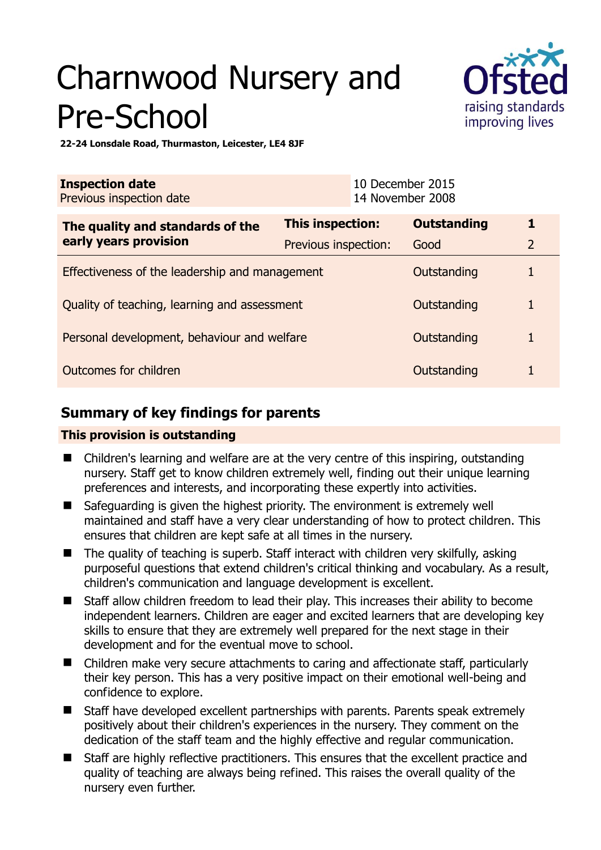# Charnwood Nursery and Pre-School



**22-24 Lonsdale Road, Thurmaston, Leicester, LE4 8JF** 

| <b>Inspection date</b><br>Previous inspection date        |                      | 10 December 2015<br>14 November 2008 |                    |                |
|-----------------------------------------------------------|----------------------|--------------------------------------|--------------------|----------------|
| The quality and standards of the<br>early years provision | This inspection:     |                                      | <b>Outstanding</b> | 1              |
|                                                           | Previous inspection: |                                      | Good               | $\overline{2}$ |
| Effectiveness of the leadership and management            |                      |                                      | Outstanding        |                |
| Quality of teaching, learning and assessment              |                      |                                      | Outstanding        | 1              |
| Personal development, behaviour and welfare               |                      |                                      | Outstanding        |                |
| Outcomes for children                                     |                      |                                      | Outstanding        |                |

## **Summary of key findings for parents**

## **This provision is outstanding**

- Children's learning and welfare are at the very centre of this inspiring, outstanding nursery. Staff get to know children extremely well, finding out their unique learning preferences and interests, and incorporating these expertly into activities.
- Safeguarding is given the highest priority. The environment is extremely well maintained and staff have a very clear understanding of how to protect children. This ensures that children are kept safe at all times in the nursery.
- $\blacksquare$  The quality of teaching is superb. Staff interact with children very skilfully, asking purposeful questions that extend children's critical thinking and vocabulary. As a result, children's communication and language development is excellent.
- Staff allow children freedom to lead their play. This increases their ability to become independent learners. Children are eager and excited learners that are developing key skills to ensure that they are extremely well prepared for the next stage in their development and for the eventual move to school.
- Children make very secure attachments to caring and affectionate staff, particularly their key person. This has a very positive impact on their emotional well-being and confidence to explore.
- Staff have developed excellent partnerships with parents. Parents speak extremely positively about their children's experiences in the nursery. They comment on the dedication of the staff team and the highly effective and regular communication.
- Staff are highly reflective practitioners. This ensures that the excellent practice and quality of teaching are always being refined. This raises the overall quality of the nursery even further.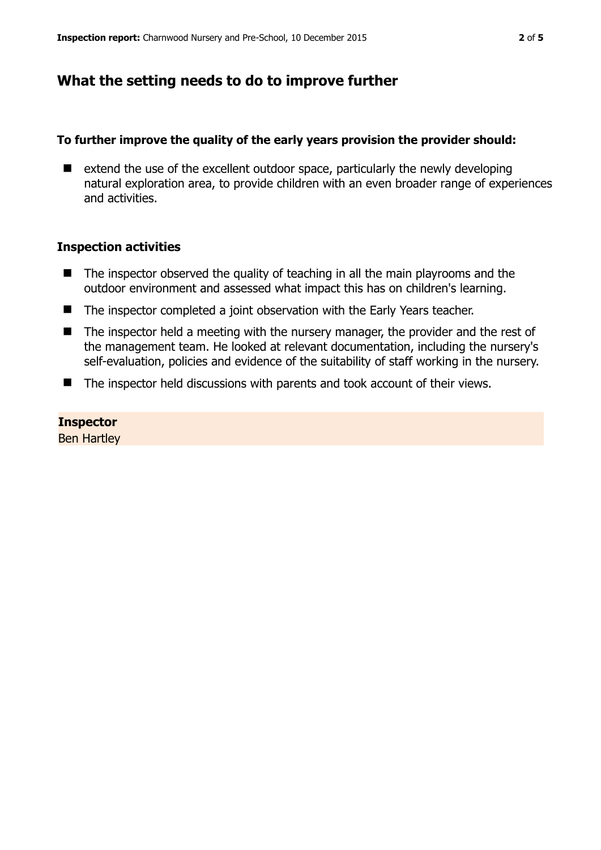## **What the setting needs to do to improve further**

### **To further improve the quality of the early years provision the provider should:**

 $\blacksquare$  extend the use of the excellent outdoor space, particularly the newly developing natural exploration area, to provide children with an even broader range of experiences and activities.

### **Inspection activities**

- $\blacksquare$  The inspector observed the quality of teaching in all the main playrooms and the outdoor environment and assessed what impact this has on children's learning.
- The inspector completed a joint observation with the Early Years teacher.
- The inspector held a meeting with the nursery manager, the provider and the rest of the management team. He looked at relevant documentation, including the nursery's self-evaluation, policies and evidence of the suitability of staff working in the nursery.
- The inspector held discussions with parents and took account of their views.

#### **Inspector**

Ben Hartley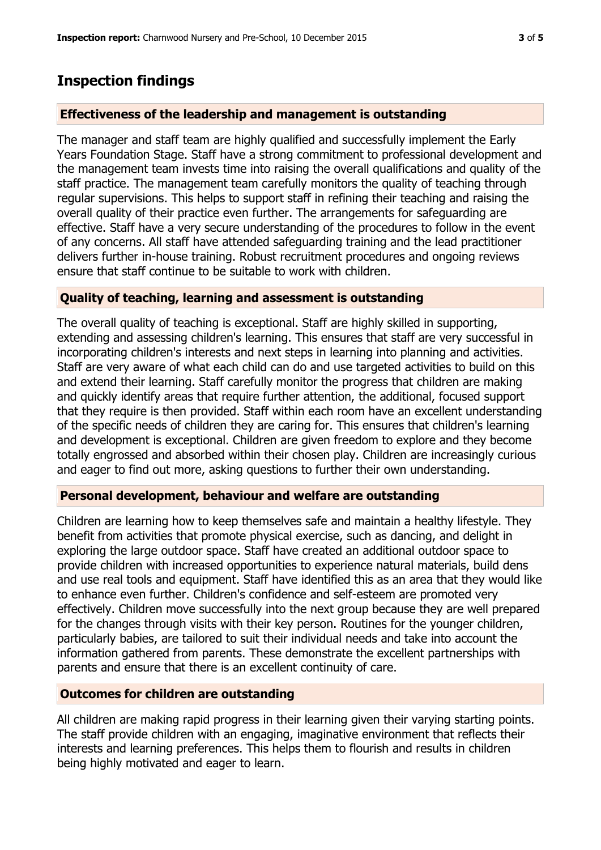## **Inspection findings**

## **Effectiveness of the leadership and management is outstanding**

The manager and staff team are highly qualified and successfully implement the Early Years Foundation Stage. Staff have a strong commitment to professional development and the management team invests time into raising the overall qualifications and quality of the staff practice. The management team carefully monitors the quality of teaching through regular supervisions. This helps to support staff in refining their teaching and raising the overall quality of their practice even further. The arrangements for safeguarding are effective. Staff have a very secure understanding of the procedures to follow in the event of any concerns. All staff have attended safeguarding training and the lead practitioner delivers further in-house training. Robust recruitment procedures and ongoing reviews ensure that staff continue to be suitable to work with children.

### **Quality of teaching, learning and assessment is outstanding**

The overall quality of teaching is exceptional. Staff are highly skilled in supporting, extending and assessing children's learning. This ensures that staff are very successful in incorporating children's interests and next steps in learning into planning and activities. Staff are very aware of what each child can do and use targeted activities to build on this and extend their learning. Staff carefully monitor the progress that children are making and quickly identify areas that require further attention, the additional, focused support that they require is then provided. Staff within each room have an excellent understanding of the specific needs of children they are caring for. This ensures that children's learning and development is exceptional. Children are given freedom to explore and they become totally engrossed and absorbed within their chosen play. Children are increasingly curious and eager to find out more, asking questions to further their own understanding.

## **Personal development, behaviour and welfare are outstanding**

Children are learning how to keep themselves safe and maintain a healthy lifestyle. They benefit from activities that promote physical exercise, such as dancing, and delight in exploring the large outdoor space. Staff have created an additional outdoor space to provide children with increased opportunities to experience natural materials, build dens and use real tools and equipment. Staff have identified this as an area that they would like to enhance even further. Children's confidence and self-esteem are promoted very effectively. Children move successfully into the next group because they are well prepared for the changes through visits with their key person. Routines for the younger children, particularly babies, are tailored to suit their individual needs and take into account the information gathered from parents. These demonstrate the excellent partnerships with parents and ensure that there is an excellent continuity of care.

#### **Outcomes for children are outstanding**

All children are making rapid progress in their learning given their varying starting points. The staff provide children with an engaging, imaginative environment that reflects their interests and learning preferences. This helps them to flourish and results in children being highly motivated and eager to learn.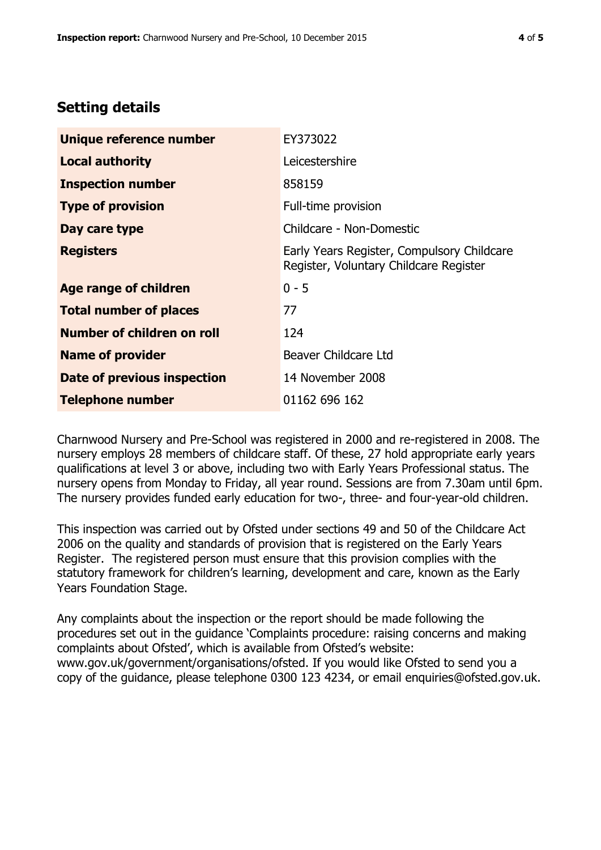## **Setting details**

| Unique reference number            | EY373022                                                                             |  |
|------------------------------------|--------------------------------------------------------------------------------------|--|
| <b>Local authority</b>             | Leicestershire                                                                       |  |
| <b>Inspection number</b>           | 858159                                                                               |  |
| <b>Type of provision</b>           | Full-time provision                                                                  |  |
| Day care type                      | Childcare - Non-Domestic                                                             |  |
| <b>Registers</b>                   | Early Years Register, Compulsory Childcare<br>Register, Voluntary Childcare Register |  |
| Age range of children              | $0 - 5$                                                                              |  |
| <b>Total number of places</b>      | 77                                                                                   |  |
| Number of children on roll         | 124                                                                                  |  |
| <b>Name of provider</b>            | Beaver Childcare Ltd                                                                 |  |
| <b>Date of previous inspection</b> | 14 November 2008                                                                     |  |
| <b>Telephone number</b>            | 01162 696 162                                                                        |  |

Charnwood Nursery and Pre-School was registered in 2000 and re-registered in 2008. The nursery employs 28 members of childcare staff. Of these, 27 hold appropriate early years qualifications at level 3 or above, including two with Early Years Professional status. The nursery opens from Monday to Friday, all year round. Sessions are from 7.30am until 6pm. The nursery provides funded early education for two-, three- and four-year-old children.

This inspection was carried out by Ofsted under sections 49 and 50 of the Childcare Act 2006 on the quality and standards of provision that is registered on the Early Years Register. The registered person must ensure that this provision complies with the statutory framework for children's learning, development and care, known as the Early Years Foundation Stage.

Any complaints about the inspection or the report should be made following the procedures set out in the guidance 'Complaints procedure: raising concerns and making complaints about Ofsted', which is available from Ofsted's website: www.gov.uk/government/organisations/ofsted. If you would like Ofsted to send you a copy of the guidance, please telephone 0300 123 4234, or email enquiries@ofsted.gov.uk.